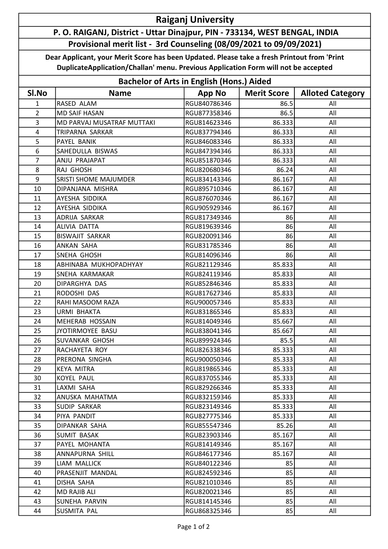## Raiganj University

## P. O. RAIGANJ, District - Uttar Dinajpur, PIN - 733134, WEST BENGAL, INDIA Provisional merit list - 3rd Counseling (08/09/2021 to 09/09/2021)

Dear Applicant, your Merit Score has been Updated. Please take a fresh Printout from 'Print DuplicateApplication/Challan' menu. Previous Application Form will not be accepted

| <b>Bachelor of Arts in English (Hons.) Aided</b> |                              |               |                    |                         |  |  |
|--------------------------------------------------|------------------------------|---------------|--------------------|-------------------------|--|--|
| SI.No                                            | <b>Name</b>                  | <b>App No</b> | <b>Merit Score</b> | <b>Alloted Category</b> |  |  |
| $\mathbf{1}$                                     | RASED ALAM                   | RGU840786346  | 86.5               | All                     |  |  |
| $\overline{2}$                                   | <b>MD SAIF HASAN</b>         | RGU877358346  | 86.5               | All                     |  |  |
| 3                                                | MD PARVAJ MUSATRAF MUTTAKI   | RGU814623346  | 86.333             | All                     |  |  |
| 4                                                | <b>TRIPARNA SARKAR</b>       | RGU837794346  | 86.333             | All                     |  |  |
| 5                                                | PAYEL BANIK                  | RGU846083346  | 86.333             | All                     |  |  |
| 6                                                | SAHEDULLA BISWAS             | RGU847394346  | 86.333             | All                     |  |  |
| $\overline{7}$                                   | ANJU PRAJAPAT                | RGU851870346  | 86.333             | All                     |  |  |
| 8                                                | RAJ GHOSH                    | RGU820680346  | 86.24              | All                     |  |  |
| 9                                                | <b>SRISTI SHOME MAJUMDER</b> | RGU834143346  | 86.167             | All                     |  |  |
| 10                                               | DIPANJANA MISHRA             | RGU895710346  | 86.167             | All                     |  |  |
| 11                                               | AYESHA SIDDIKA               | RGU876070346  | 86.167             | All                     |  |  |
| 12                                               | AYESHA SIDDIKA               | RGU905929346  | 86.167             | All                     |  |  |
| 13                                               | ADRIJA SARKAR                | RGU817349346  | 86                 | All                     |  |  |
| 14                                               | <b>ALIVIA DATTA</b>          | RGU819639346  | 86                 | All                     |  |  |
| 15                                               | <b>BISWAJIT SARKAR</b>       | RGU820091346  | 86                 | All                     |  |  |
| 16                                               | <b>ANKAN SAHA</b>            | RGU831785346  | 86                 | All                     |  |  |
| 17                                               | SNEHA GHOSH                  | RGU814096346  | 86                 | All                     |  |  |
| 18                                               | ABHINABA MUKHOPADHYAY        | RGU821129346  | 85.833             | All                     |  |  |
| 19                                               | SNEHA KARMAKAR               | RGU824119346  | 85.833             | All                     |  |  |
| 20                                               | DIPARGHYA DAS                | RGU852846346  | 85.833             | All                     |  |  |
| 21                                               | RODOSHI DAS                  | RGU817627346  | 85.833             | All                     |  |  |
| 22                                               | RAHI MASOOM RAZA             | RGU900057346  | 85.833             | All                     |  |  |
| 23                                               | <b>URMI BHAKTA</b>           | RGU831865346  | 85.833             | All                     |  |  |
| 24                                               | MEHERAB HOSSAIN              | RGU814049346  | 85.667             | All                     |  |  |
| 25                                               | JYOTIRMOYEE BASU             | RGU838041346  | 85.667             | All                     |  |  |
| 26                                               | SUVANKAR GHOSH               | RGU899924346  | 85.5               | All                     |  |  |
| 27                                               | RACHAYETA ROY                | RGU826338346  | 85.333             | All                     |  |  |
| 28                                               | PRERONA SINGHA               | RGU900050346  | 85.333             | All                     |  |  |
| 29                                               | KEYA MITRA                   | RGU819865346  | 85.333             | All                     |  |  |
| 30                                               | <b>KOYEL PAUL</b>            | RGU837055346  | 85.333             | All                     |  |  |
| 31                                               | LAXMI SAHA                   | RGU829266346  | 85.333             | All                     |  |  |
| 32                                               | ANUSKA MAHATMA               | RGU832159346  | 85.333             | All                     |  |  |
| 33                                               | <b>SUDIP SARKAR</b>          | RGU823149346  | 85.333             | All                     |  |  |
| 34                                               | PIYA PANDIT                  | RGU827775346  | 85.333             | All                     |  |  |
| 35                                               | DIPANKAR SAHA                | RGU855547346  | 85.26              | All                     |  |  |
| 36                                               | SUMIT BASAK                  | RGU823903346  | 85.167             | All                     |  |  |
| 37                                               | PAYEL MOHANTA                | RGU814149346  | 85.167             | All                     |  |  |
| 38                                               | ANNAPURNA SHILL              | RGU846177346  | 85.167             | All                     |  |  |
| 39                                               | LIAM MALLICK                 | RGU840122346  | 85                 | All                     |  |  |
| 40                                               | PRASENJIT MANDAL             | RGU824592346  | 85                 | All                     |  |  |
| 41                                               | DISHA SAHA                   | RGU821010346  | 85                 | All                     |  |  |
| 42                                               | MD RAJIB ALI                 | RGU820021346  | 85                 | All                     |  |  |
| 43                                               | SUNEHA PARVIN                | RGU814145346  | 85                 | All                     |  |  |
| 44                                               | <b>SUSMITA PAL</b>           | RGU868325346  | 85                 | All                     |  |  |